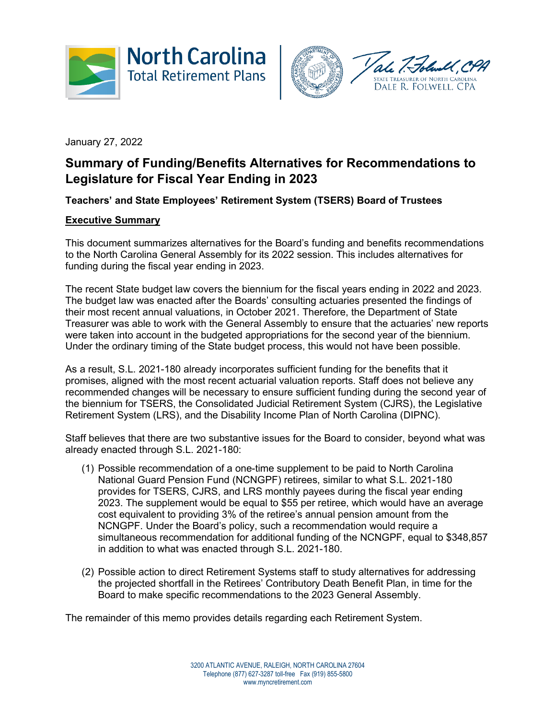



January 27, 2022

# **Summary of Funding/Benefits Alternatives for Recommendations to Legislature for Fiscal Year Ending in 2023**

## **Teachers' and State Employees' Retirement System (TSERS) Board of Trustees**

## **Executive Summary**

This document summarizes alternatives for the Board's funding and benefits recommendations to the North Carolina General Assembly for its 2022 session. This includes alternatives for funding during the fiscal year ending in 2023.

The recent State budget law covers the biennium for the fiscal years ending in 2022 and 2023. The budget law was enacted after the Boards' consulting actuaries presented the findings of their most recent annual valuations, in October 2021. Therefore, the Department of State Treasurer was able to work with the General Assembly to ensure that the actuaries' new reports were taken into account in the budgeted appropriations for the second year of the biennium. Under the ordinary timing of the State budget process, this would not have been possible.

As a result, S.L. 2021-180 already incorporates sufficient funding for the benefits that it promises, aligned with the most recent actuarial valuation reports. Staff does not believe any recommended changes will be necessary to ensure sufficient funding during the second year of the biennium for TSERS, the Consolidated Judicial Retirement System (CJRS), the Legislative Retirement System (LRS), and the Disability Income Plan of North Carolina (DIPNC).

Staff believes that there are two substantive issues for the Board to consider, beyond what was already enacted through S.L. 2021-180:

- (1) Possible recommendation of a one-time supplement to be paid to North Carolina National Guard Pension Fund (NCNGPF) retirees, similar to what S.L. 2021-180 provides for TSERS, CJRS, and LRS monthly payees during the fiscal year ending 2023. The supplement would be equal to \$55 per retiree, which would have an average cost equivalent to providing 3% of the retiree's annual pension amount from the NCNGPF. Under the Board's policy, such a recommendation would require a simultaneous recommendation for additional funding of the NCNGPF, equal to \$348,857 in addition to what was enacted through S.L. 2021-180.
- (2) Possible action to direct Retirement Systems staff to study alternatives for addressing the projected shortfall in the Retirees' Contributory Death Benefit Plan, in time for the Board to make specific recommendations to the 2023 General Assembly.

The remainder of this memo provides details regarding each Retirement System.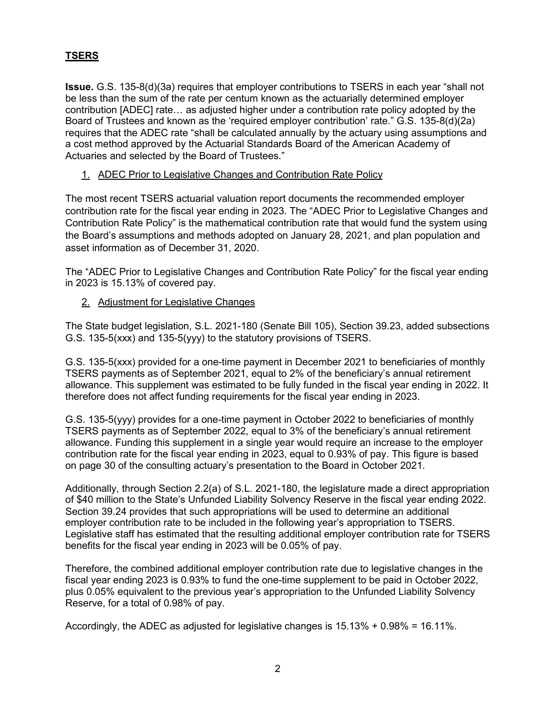# **TSERS**

**Issue.** G.S. 135-8(d)(3a) requires that employer contributions to TSERS in each year "shall not be less than the sum of the rate per centum known as the actuarially determined employer contribution [ADEC] rate… as adjusted higher under a contribution rate policy adopted by the Board of Trustees and known as the 'required employer contribution' rate." G.S. 135-8(d)(2a) requires that the ADEC rate "shall be calculated annually by the actuary using assumptions and a cost method approved by the Actuarial Standards Board of the American Academy of Actuaries and selected by the Board of Trustees."

## 1. ADEC Prior to Legislative Changes and Contribution Rate Policy

The most recent TSERS actuarial valuation report documents the recommended employer contribution rate for the fiscal year ending in 2023. The "ADEC Prior to Legislative Changes and Contribution Rate Policy" is the mathematical contribution rate that would fund the system using the Board's assumptions and methods adopted on January 28, 2021, and plan population and asset information as of December 31, 2020.

The "ADEC Prior to Legislative Changes and Contribution Rate Policy" for the fiscal year ending in 2023 is 15.13% of covered pay.

## 2. Adjustment for Legislative Changes

The State budget legislation, S.L. 2021-180 (Senate Bill 105), Section 39.23, added subsections G.S. 135-5(xxx) and 135-5(yyy) to the statutory provisions of TSERS.

G.S. 135-5(xxx) provided for a one-time payment in December 2021 to beneficiaries of monthly TSERS payments as of September 2021, equal to 2% of the beneficiary's annual retirement allowance. This supplement was estimated to be fully funded in the fiscal year ending in 2022. It therefore does not affect funding requirements for the fiscal year ending in 2023.

G.S. 135-5(yyy) provides for a one-time payment in October 2022 to beneficiaries of monthly TSERS payments as of September 2022, equal to 3% of the beneficiary's annual retirement allowance. Funding this supplement in a single year would require an increase to the employer contribution rate for the fiscal year ending in 2023, equal to 0.93% of pay. This figure is based on page 30 of the consulting actuary's presentation to the Board in October 2021.

Additionally, through Section 2.2(a) of S.L. 2021-180, the legislature made a direct appropriation of \$40 million to the State's Unfunded Liability Solvency Reserve in the fiscal year ending 2022. Section 39.24 provides that such appropriations will be used to determine an additional employer contribution rate to be included in the following year's appropriation to TSERS. Legislative staff has estimated that the resulting additional employer contribution rate for TSERS benefits for the fiscal year ending in 2023 will be 0.05% of pay.

Therefore, the combined additional employer contribution rate due to legislative changes in the fiscal year ending 2023 is 0.93% to fund the one-time supplement to be paid in October 2022, plus 0.05% equivalent to the previous year's appropriation to the Unfunded Liability Solvency Reserve, for a total of 0.98% of pay.

Accordingly, the ADEC as adjusted for legislative changes is 15.13% + 0.98% = 16.11%.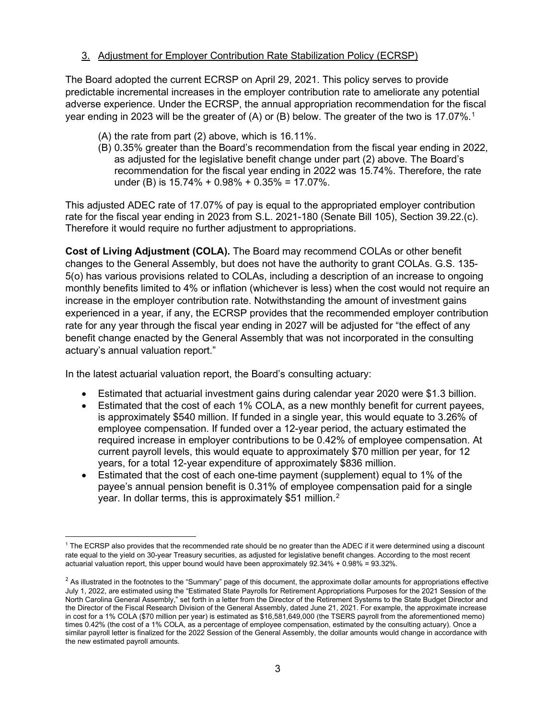## 3. Adjustment for Employer Contribution Rate Stabilization Policy (ECRSP)

The Board adopted the current ECRSP on April 29, 2021. This policy serves to provide predictable incremental increases in the employer contribution rate to ameliorate any potential adverse experience. Under the ECRSP, the annual appropriation recommendation for the fiscal year ending in 2023 will be the greater of  $(A)$  or  $(B)$  below. The greater of the two is 17.07%.<sup>1</sup>

- (A) the rate from part (2) above, which is 16.11%.
- (B) 0.35% greater than the Board's recommendation from the fiscal year ending in 2022, as adjusted for the legislative benefit change under part (2) above. The Board's recommendation for the fiscal year ending in 2022 was 15.74%. Therefore, the rate under (B) is  $15.74\% + 0.98\% + 0.35\% = 17.07\%$ .

This adjusted ADEC rate of 17.07% of pay is equal to the appropriated employer contribution rate for the fiscal year ending in 2023 from S.L. 2021-180 (Senate Bill 105), Section 39.22.(c). Therefore it would require no further adjustment to appropriations.

**Cost of Living Adjustment (COLA).** The Board may recommend COLAs or other benefit changes to the General Assembly, but does not have the authority to grant COLAs. G.S. 135- 5(o) has various provisions related to COLAs, including a description of an increase to ongoing monthly benefits limited to 4% or inflation (whichever is less) when the cost would not require an increase in the employer contribution rate. Notwithstanding the amount of investment gains experienced in a year, if any, the ECRSP provides that the recommended employer contribution rate for any year through the fiscal year ending in 2027 will be adjusted for "the effect of any benefit change enacted by the General Assembly that was not incorporated in the consulting actuary's annual valuation report."

In the latest actuarial valuation report, the Board's consulting actuary:

- Estimated that actuarial investment gains during calendar year 2020 were \$1.3 billion.
- Estimated that the cost of each 1% COLA, as a new monthly benefit for current payees, is approximately \$540 million. If funded in a single year, this would equate to 3.26% of employee compensation. If funded over a 12-year period, the actuary estimated the required increase in employer contributions to be 0.42% of employee compensation. At current payroll levels, this would equate to approximately \$70 million per year, for 12 years, for a total 12-year expenditure of approximately \$836 million.
- Estimated that the cost of each one-time payment (supplement) equal to 1% of the payee's annual pension benefit is 0.31% of employee compensation paid for a single year. In dollar terms, this is approximately \$51 million.<sup>[2](#page-2-1)</sup>

<span id="page-2-0"></span><sup>&</sup>lt;sup>1</sup> The ECRSP also provides that the recommended rate should be no greater than the ADEC if it were determined using a discount rate equal to the yield on 30-year Treasury securities, as adjusted for legislative benefit changes. According to the most recent actuarial valuation report, this upper bound would have been approximately 92.34% + 0.98% = 93.32%.

<span id="page-2-1"></span> $2$  As illustrated in the footnotes to the "Summary" page of this document, the approximate dollar amounts for appropriations effective July 1, 2022, are estimated using the "Estimated State Payrolls for Retirement Appropriations Purposes for the 2021 Session of the North Carolina General Assembly," set forth in a letter from the Director of the Retirement Systems to the State Budget Director and the Director of the Fiscal Research Division of the General Assembly, dated June 21, 2021. For example, the approximate increase in cost for a 1% COLA (\$70 million per year) is estimated as \$16,581,649,000 (the TSERS payroll from the aforementioned memo) times 0.42% (the cost of a 1% COLA, as a percentage of employee compensation, estimated by the consulting actuary). Once a similar payroll letter is finalized for the 2022 Session of the General Assembly, the dollar amounts would change in accordance with the new estimated payroll amounts.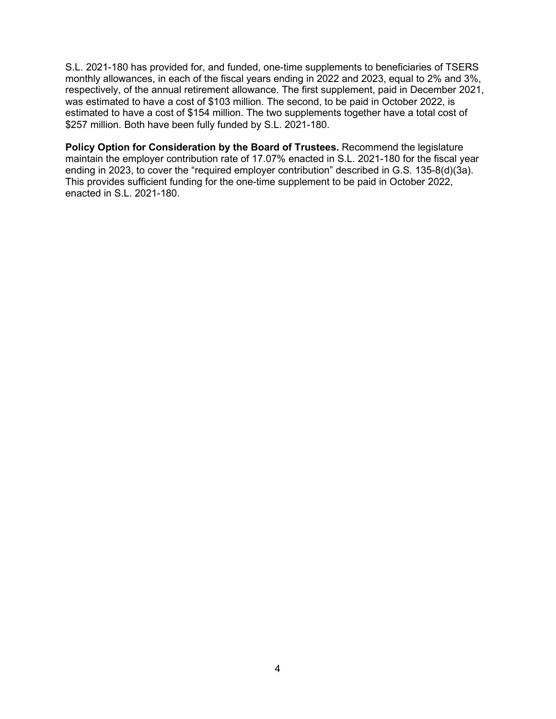S.L. 2021-180 has provided for, and funded, one-time supplements to beneficiaries of TSERS monthly allowances, in each of the fiscal years ending in 2022 and 2023, equal to 2% and 3%, respectively, of the annual retirement allowance. The first supplement, paid in December 2021, was estimated to have a cost of \$103 million. The second, to be paid in October 2022, is estimated to have a cost of \$154 million. The two supplements together have a total cost of \$257 million. Both have been fully funded by S.L. 2021-180.

**Policy Option for Consideration by the Board of Trustees.** Recommend the legislature maintain the employer contribution rate of 17.07% enacted in S.L. 2021-180 for the fiscal year ending in 2023, to cover the "required employer contribution" described in G.S. 135-8(d)(3a). This provides sufficient funding for the one-time supplement to be paid in October 2022, enacted in S.L. 2021-180.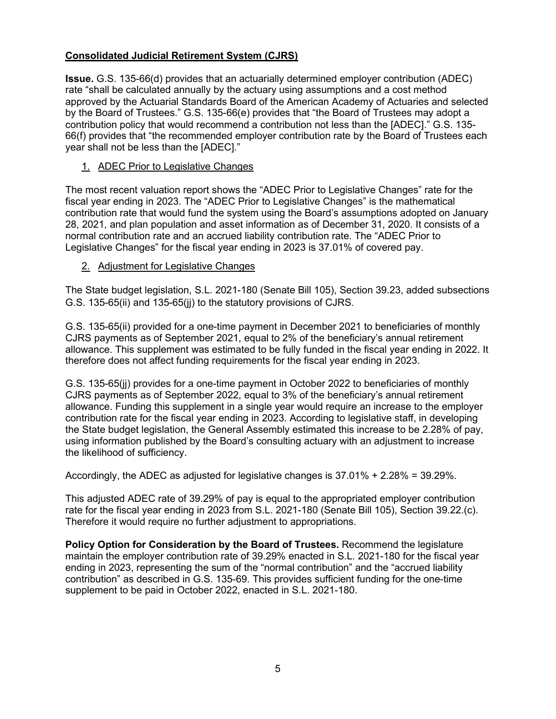## **Consolidated Judicial Retirement System (CJRS)**

**Issue.** G.S. 135-66(d) provides that an actuarially determined employer contribution (ADEC) rate "shall be calculated annually by the actuary using assumptions and a cost method approved by the Actuarial Standards Board of the American Academy of Actuaries and selected by the Board of Trustees." G.S. 135-66(e) provides that "the Board of Trustees may adopt a contribution policy that would recommend a contribution not less than the [ADEC]." G.S. 135- 66(f) provides that "the recommended employer contribution rate by the Board of Trustees each year shall not be less than the [ADEC]."

1. ADEC Prior to Legislative Changes

The most recent valuation report shows the "ADEC Prior to Legislative Changes" rate for the fiscal year ending in 2023. The "ADEC Prior to Legislative Changes" is the mathematical contribution rate that would fund the system using the Board's assumptions adopted on January 28, 2021, and plan population and asset information as of December 31, 2020. It consists of a normal contribution rate and an accrued liability contribution rate. The "ADEC Prior to Legislative Changes" for the fiscal year ending in 2023 is 37.01% of covered pay.

## 2. Adjustment for Legislative Changes

The State budget legislation, S.L. 2021-180 (Senate Bill 105), Section 39.23, added subsections G.S. 135-65(ii) and 135-65(jj) to the statutory provisions of CJRS.

G.S. 135-65(ii) provided for a one-time payment in December 2021 to beneficiaries of monthly CJRS payments as of September 2021, equal to 2% of the beneficiary's annual retirement allowance. This supplement was estimated to be fully funded in the fiscal year ending in 2022. It therefore does not affect funding requirements for the fiscal year ending in 2023.

G.S. 135-65(jj) provides for a one-time payment in October 2022 to beneficiaries of monthly CJRS payments as of September 2022, equal to 3% of the beneficiary's annual retirement allowance. Funding this supplement in a single year would require an increase to the employer contribution rate for the fiscal year ending in 2023. According to legislative staff, in developing the State budget legislation, the General Assembly estimated this increase to be 2.28% of pay, using information published by the Board's consulting actuary with an adjustment to increase the likelihood of sufficiency.

Accordingly, the ADEC as adjusted for legislative changes is 37.01% + 2.28% = 39.29%.

This adjusted ADEC rate of 39.29% of pay is equal to the appropriated employer contribution rate for the fiscal year ending in 2023 from S.L. 2021-180 (Senate Bill 105), Section 39.22.(c). Therefore it would require no further adjustment to appropriations.

**Policy Option for Consideration by the Board of Trustees.** Recommend the legislature maintain the employer contribution rate of 39.29% enacted in S.L. 2021-180 for the fiscal year ending in 2023, representing the sum of the "normal contribution" and the "accrued liability contribution" as described in G.S. 135-69. This provides sufficient funding for the one-time supplement to be paid in October 2022, enacted in S.L. 2021-180.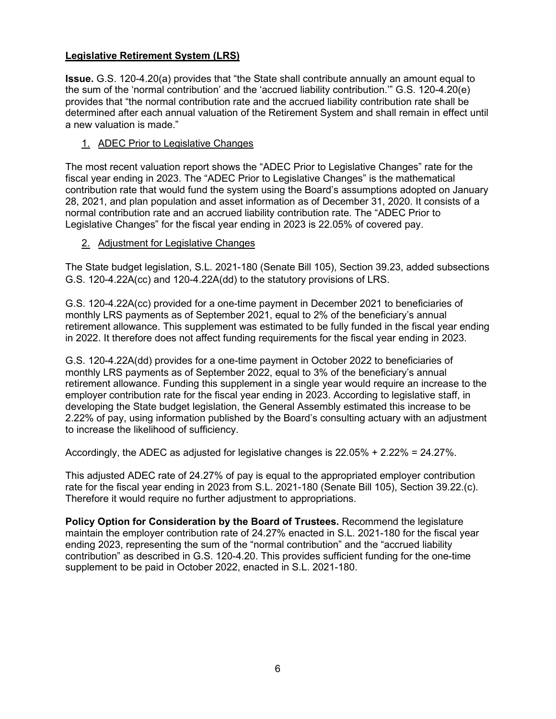## **Legislative Retirement System (LRS)**

**Issue.** G.S. 120-4.20(a) provides that "the State shall contribute annually an amount equal to the sum of the 'normal contribution' and the 'accrued liability contribution.'" G.S. 120-4.20(e) provides that "the normal contribution rate and the accrued liability contribution rate shall be determined after each annual valuation of the Retirement System and shall remain in effect until a new valuation is made."

## 1. ADEC Prior to Legislative Changes

The most recent valuation report shows the "ADEC Prior to Legislative Changes" rate for the fiscal year ending in 2023. The "ADEC Prior to Legislative Changes" is the mathematical contribution rate that would fund the system using the Board's assumptions adopted on January 28, 2021, and plan population and asset information as of December 31, 2020. It consists of a normal contribution rate and an accrued liability contribution rate. The "ADEC Prior to Legislative Changes" for the fiscal year ending in 2023 is 22.05% of covered pay.

# 2. Adjustment for Legislative Changes

The State budget legislation, S.L. 2021-180 (Senate Bill 105), Section 39.23, added subsections G.S. 120-4.22A(cc) and 120-4.22A(dd) to the statutory provisions of LRS.

G.S. 120-4.22A(cc) provided for a one-time payment in December 2021 to beneficiaries of monthly LRS payments as of September 2021, equal to 2% of the beneficiary's annual retirement allowance. This supplement was estimated to be fully funded in the fiscal year ending in 2022. It therefore does not affect funding requirements for the fiscal year ending in 2023.

G.S. 120-4.22A(dd) provides for a one-time payment in October 2022 to beneficiaries of monthly LRS payments as of September 2022, equal to 3% of the beneficiary's annual retirement allowance. Funding this supplement in a single year would require an increase to the employer contribution rate for the fiscal year ending in 2023. According to legislative staff, in developing the State budget legislation, the General Assembly estimated this increase to be 2.22% of pay, using information published by the Board's consulting actuary with an adjustment to increase the likelihood of sufficiency.

Accordingly, the ADEC as adjusted for legislative changes is 22.05% + 2.22% = 24.27%.

This adjusted ADEC rate of 24.27% of pay is equal to the appropriated employer contribution rate for the fiscal year ending in 2023 from S.L. 2021-180 (Senate Bill 105), Section 39.22.(c). Therefore it would require no further adjustment to appropriations.

**Policy Option for Consideration by the Board of Trustees.** Recommend the legislature maintain the employer contribution rate of 24.27% enacted in S.L. 2021-180 for the fiscal year ending 2023, representing the sum of the "normal contribution" and the "accrued liability contribution" as described in G.S. 120-4.20. This provides sufficient funding for the one-time supplement to be paid in October 2022, enacted in S.L. 2021-180.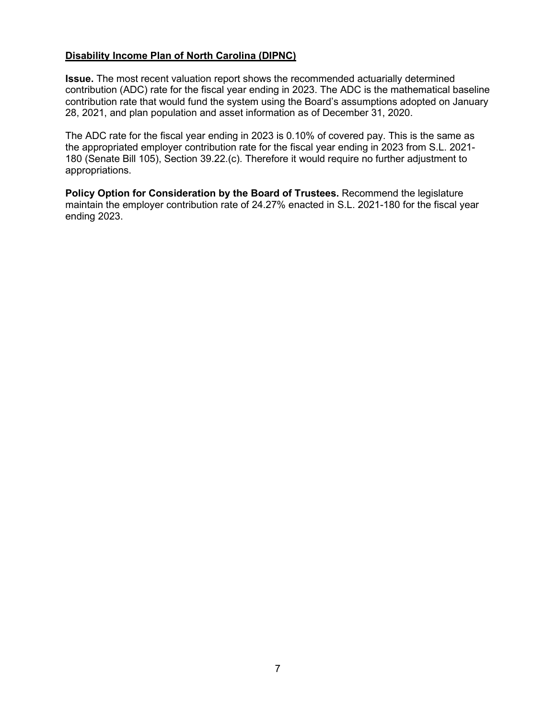#### **Disability Income Plan of North Carolina (DIPNC)**

**Issue.** The most recent valuation report shows the recommended actuarially determined contribution (ADC) rate for the fiscal year ending in 2023. The ADC is the mathematical baseline contribution rate that would fund the system using the Board's assumptions adopted on January 28, 2021, and plan population and asset information as of December 31, 2020.

The ADC rate for the fiscal year ending in 2023 is 0.10% of covered pay. This is the same as the appropriated employer contribution rate for the fiscal year ending in 2023 from S.L. 2021- 180 (Senate Bill 105), Section 39.22.(c). Therefore it would require no further adjustment to appropriations.

**Policy Option for Consideration by the Board of Trustees.** Recommend the legislature maintain the employer contribution rate of 24.27% enacted in S.L. 2021-180 for the fiscal year ending 2023.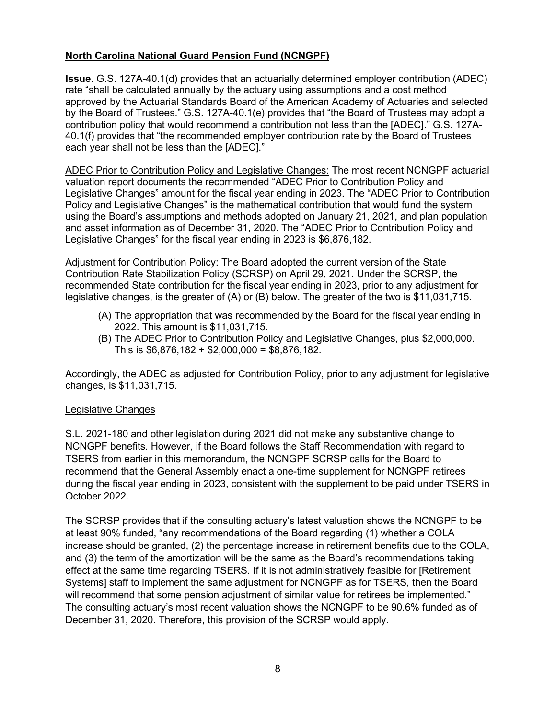## **North Carolina National Guard Pension Fund (NCNGPF)**

**Issue.** G.S. 127A-40.1(d) provides that an actuarially determined employer contribution (ADEC) rate "shall be calculated annually by the actuary using assumptions and a cost method approved by the Actuarial Standards Board of the American Academy of Actuaries and selected by the Board of Trustees." G.S. 127A-40.1(e) provides that "the Board of Trustees may adopt a contribution policy that would recommend a contribution not less than the [ADEC]." G.S. 127A-40.1(f) provides that "the recommended employer contribution rate by the Board of Trustees each year shall not be less than the [ADEC]."

ADEC Prior to Contribution Policy and Legislative Changes: The most recent NCNGPF actuarial valuation report documents the recommended "ADEC Prior to Contribution Policy and Legislative Changes" amount for the fiscal year ending in 2023. The "ADEC Prior to Contribution Policy and Legislative Changes" is the mathematical contribution that would fund the system using the Board's assumptions and methods adopted on January 21, 2021, and plan population and asset information as of December 31, 2020. The "ADEC Prior to Contribution Policy and Legislative Changes" for the fiscal year ending in 2023 is \$6,876,182.

Adjustment for Contribution Policy: The Board adopted the current version of the State Contribution Rate Stabilization Policy (SCRSP) on April 29, 2021. Under the SCRSP, the recommended State contribution for the fiscal year ending in 2023, prior to any adjustment for legislative changes, is the greater of (A) or (B) below. The greater of the two is \$11,031,715.

- (A) The appropriation that was recommended by the Board for the fiscal year ending in 2022. This amount is \$11,031,715.
- (B) The ADEC Prior to Contribution Policy and Legislative Changes, plus \$2,000,000. This is \$6,876,182 + \$2,000,000 = \$8,876,182.

Accordingly, the ADEC as adjusted for Contribution Policy, prior to any adjustment for legislative changes, is \$11,031,715.

#### Legislative Changes

S.L. 2021-180 and other legislation during 2021 did not make any substantive change to NCNGPF benefits. However, if the Board follows the Staff Recommendation with regard to TSERS from earlier in this memorandum, the NCNGPF SCRSP calls for the Board to recommend that the General Assembly enact a one-time supplement for NCNGPF retirees during the fiscal year ending in 2023, consistent with the supplement to be paid under TSERS in October 2022.

The SCRSP provides that if the consulting actuary's latest valuation shows the NCNGPF to be at least 90% funded, "any recommendations of the Board regarding (1) whether a COLA increase should be granted, (2) the percentage increase in retirement benefits due to the COLA, and (3) the term of the amortization will be the same as the Board's recommendations taking effect at the same time regarding TSERS. If it is not administratively feasible for [Retirement Systems] staff to implement the same adjustment for NCNGPF as for TSERS, then the Board will recommend that some pension adjustment of similar value for retirees be implemented." The consulting actuary's most recent valuation shows the NCNGPF to be 90.6% funded as of December 31, 2020. Therefore, this provision of the SCRSP would apply.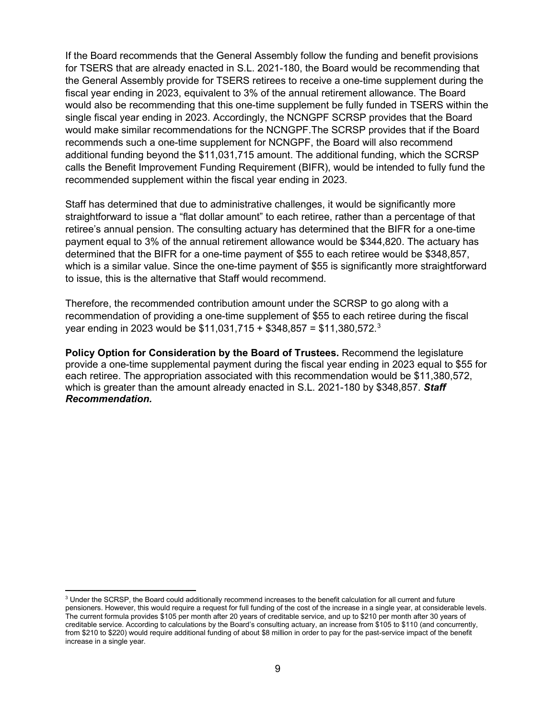If the Board recommends that the General Assembly follow the funding and benefit provisions for TSERS that are already enacted in S.L. 2021-180, the Board would be recommending that the General Assembly provide for TSERS retirees to receive a one-time supplement during the fiscal year ending in 2023, equivalent to 3% of the annual retirement allowance. The Board would also be recommending that this one-time supplement be fully funded in TSERS within the single fiscal year ending in 2023. Accordingly, the NCNGPF SCRSP provides that the Board would make similar recommendations for the NCNGPF.The SCRSP provides that if the Board recommends such a one-time supplement for NCNGPF, the Board will also recommend additional funding beyond the \$11,031,715 amount. The additional funding, which the SCRSP calls the Benefit Improvement Funding Requirement (BIFR), would be intended to fully fund the recommended supplement within the fiscal year ending in 2023.

Staff has determined that due to administrative challenges, it would be significantly more straightforward to issue a "flat dollar amount" to each retiree, rather than a percentage of that retiree's annual pension. The consulting actuary has determined that the BIFR for a one-time payment equal to 3% of the annual retirement allowance would be \$344,820. The actuary has determined that the BIFR for a one-time payment of \$55 to each retiree would be \$348,857, which is a similar value. Since the one-time payment of \$55 is significantly more straightforward to issue, this is the alternative that Staff would recommend.

Therefore, the recommended contribution amount under the SCRSP to go along with a recommendation of providing a one-time supplement of \$55 to each retiree during the fiscal year ending in 202[3](#page-8-0) would be \$11,031,715 + \$348,857 = \$11,380,572. $^{\rm 3}$ 

**Policy Option for Consideration by the Board of Trustees.** Recommend the legislature provide a one-time supplemental payment during the fiscal year ending in 2023 equal to \$55 for each retiree. The appropriation associated with this recommendation would be \$11,380,572, which is greater than the amount already enacted in S.L. 2021-180 by \$348,857. *Staff Recommendation.*

<span id="page-8-0"></span><sup>&</sup>lt;sup>3</sup> Under the SCRSP, the Board could additionally recommend increases to the benefit calculation for all current and future pensioners. However, this would require a request for full funding of the cost of the increase in a single year, at considerable levels. The current formula provides \$105 per month after 20 years of creditable service, and up to \$210 per month after 30 years of creditable service. According to calculations by the Board's consulting actuary, an increase from \$105 to \$110 (and concurrently, from \$210 to \$220) would require additional funding of about \$8 million in order to pay for the past-service impact of the benefit increase in a single year.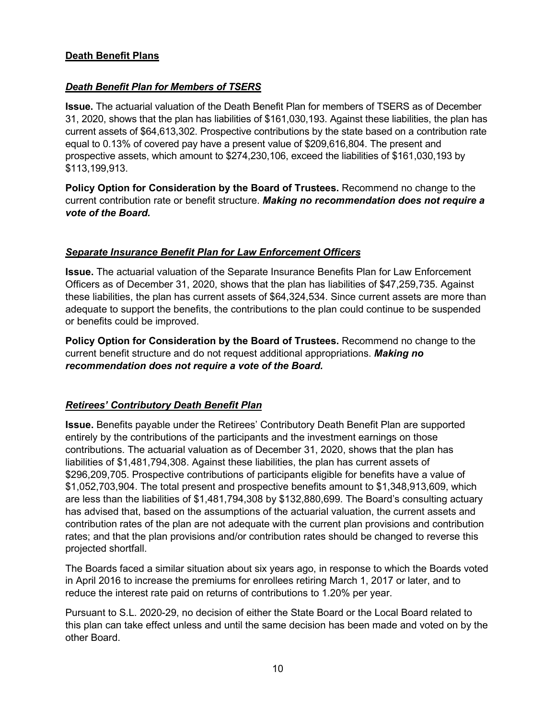## **Death Benefit Plans**

### *Death Benefit Plan for Members of TSERS*

**Issue.** The actuarial valuation of the Death Benefit Plan for members of TSERS as of December 31, 2020, shows that the plan has liabilities of \$161,030,193. Against these liabilities, the plan has current assets of \$64,613,302. Prospective contributions by the state based on a contribution rate equal to 0.13% of covered pay have a present value of \$209,616,804. The present and prospective assets, which amount to \$274,230,106, exceed the liabilities of \$161,030,193 by \$113,199,913.

**Policy Option for Consideration by the Board of Trustees.** Recommend no change to the current contribution rate or benefit structure. *Making no recommendation does not require a vote of the Board.*

#### *Separate Insurance Benefit Plan for Law Enforcement Officers*

**Issue.** The actuarial valuation of the Separate Insurance Benefits Plan for Law Enforcement Officers as of December 31, 2020, shows that the plan has liabilities of \$47,259,735. Against these liabilities, the plan has current assets of \$64,324,534. Since current assets are more than adequate to support the benefits, the contributions to the plan could continue to be suspended or benefits could be improved.

**Policy Option for Consideration by the Board of Trustees.** Recommend no change to the current benefit structure and do not request additional appropriations. *Making no recommendation does not require a vote of the Board.*

#### *Retirees' Contributory Death Benefit Plan*

**Issue.** Benefits payable under the Retirees' Contributory Death Benefit Plan are supported entirely by the contributions of the participants and the investment earnings on those contributions. The actuarial valuation as of December 31, 2020, shows that the plan has liabilities of \$1,481,794,308. Against these liabilities, the plan has current assets of \$296,209,705. Prospective contributions of participants eligible for benefits have a value of \$1,052,703,904. The total present and prospective benefits amount to \$1,348,913,609, which are less than the liabilities of \$1,481,794,308 by \$132,880,699. The Board's consulting actuary has advised that, based on the assumptions of the actuarial valuation, the current assets and contribution rates of the plan are not adequate with the current plan provisions and contribution rates; and that the plan provisions and/or contribution rates should be changed to reverse this projected shortfall.

The Boards faced a similar situation about six years ago, in response to which the Boards voted in April 2016 to increase the premiums for enrollees retiring March 1, 2017 or later, and to reduce the interest rate paid on returns of contributions to 1.20% per year.

Pursuant to S.L. 2020-29, no decision of either the State Board or the Local Board related to this plan can take effect unless and until the same decision has been made and voted on by the other Board.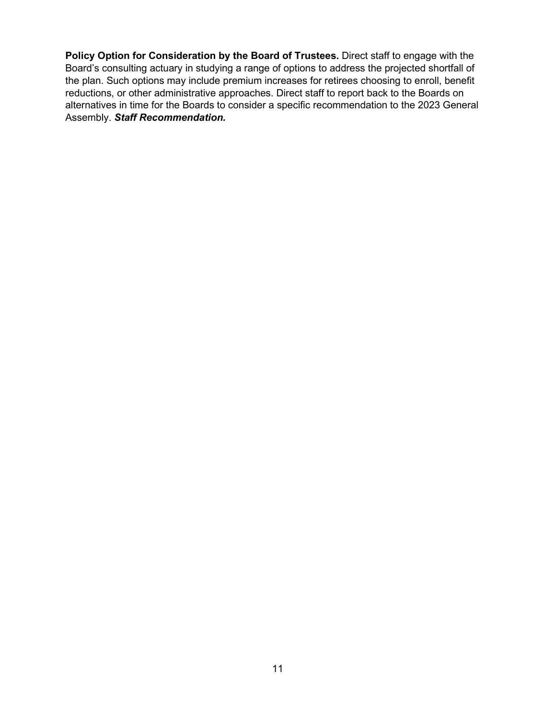**Policy Option for Consideration by the Board of Trustees.** Direct staff to engage with the Board's consulting actuary in studying a range of options to address the projected shortfall of the plan. Such options may include premium increases for retirees choosing to enroll, benefit reductions, or other administrative approaches. Direct staff to report back to the Boards on alternatives in time for the Boards to consider a specific recommendation to the 2023 General Assembly. *Staff Recommendation.*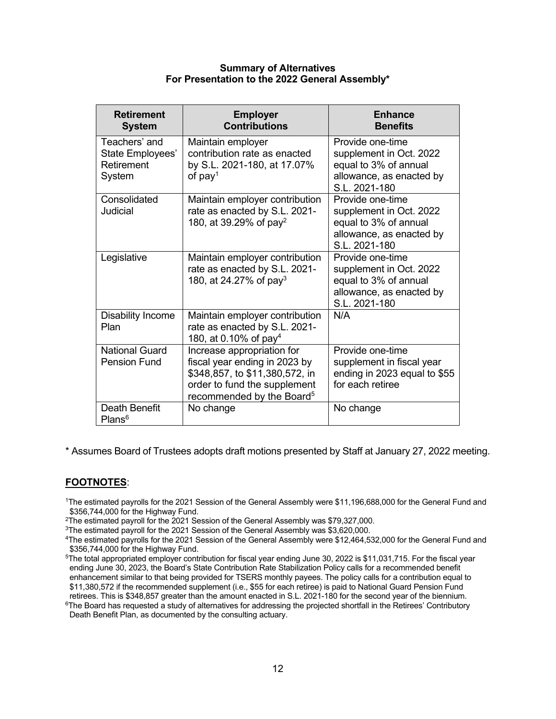#### **Summary of Alternatives For Presentation to the 2022 General Assembly\***

| <b>Retirement</b><br><b>System</b>                        | <b>Employer</b><br><b>Contributions</b>                                                                                                                                | <b>Enhance</b><br><b>Benefits</b>                                                                                 |
|-----------------------------------------------------------|------------------------------------------------------------------------------------------------------------------------------------------------------------------------|-------------------------------------------------------------------------------------------------------------------|
| Teachers' and<br>State Employees'<br>Retirement<br>System | Maintain employer<br>contribution rate as enacted<br>by S.L. 2021-180, at 17.07%<br>of $pay1$                                                                          | Provide one-time<br>supplement in Oct. 2022<br>equal to 3% of annual<br>allowance, as enacted by<br>S.L. 2021-180 |
| Consolidated<br>Judicial                                  | Maintain employer contribution<br>rate as enacted by S.L. 2021-<br>180, at 39.29% of pay <sup>2</sup>                                                                  | Provide one-time<br>supplement in Oct. 2022<br>equal to 3% of annual<br>allowance, as enacted by<br>S.L. 2021-180 |
| Legislative                                               | Maintain employer contribution<br>rate as enacted by S.L. 2021-<br>180, at 24.27% of pay <sup>3</sup>                                                                  | Provide one-time<br>supplement in Oct. 2022<br>equal to 3% of annual<br>allowance, as enacted by<br>S.L. 2021-180 |
| <b>Disability Income</b><br>Plan                          | Maintain employer contribution<br>rate as enacted by S.L. 2021-<br>180, at 0.10% of pay <sup>4</sup>                                                                   | N/A                                                                                                               |
| <b>National Guard</b><br><b>Pension Fund</b>              | Increase appropriation for<br>fiscal year ending in 2023 by<br>\$348,857, to \$11,380,572, in<br>order to fund the supplement<br>recommended by the Board <sup>5</sup> | Provide one-time<br>supplement in fiscal year<br>ending in 2023 equal to \$55<br>for each retiree                 |
| Death Benefit<br>Plans <sup>6</sup>                       | No change                                                                                                                                                              | No change                                                                                                         |

\* Assumes Board of Trustees adopts draft motions presented by Staff at January 27, 2022 meeting.

## **FOOTNOTES**:

- 1The estimated payrolls for the 2021 Session of the General Assembly were \$11,196,688,000 for the General Fund and \$356,744,000 for the Highway Fund.
- 2The estimated payroll for the 2021 Session of the General Assembly was \$79,327,000.
- <sup>3</sup>The estimated payroll for the 2021 Session of the General Assembly was \$3,620,000.

4The estimated payrolls for the 2021 Session of the General Assembly were \$12,464,532,000 for the General Fund and \$356,744,000 for the Highway Fund.

<sup>5</sup>The total appropriated employer contribution for fiscal year ending June 30, 2022 is \$11,031,715. For the fiscal year ending June 30, 2023, the Board's State Contribution Rate Stabilization Policy calls for a recommended benefit enhancement similar to that being provided for TSERS monthly payees. The policy calls for a contribution equal to \$11,380,572 if the recommended supplement (i.e., \$55 for each retiree) is paid to National Guard Pension Fund retirees. This is \$348,857 greater than the amount enacted in S.L. 2021-180 for the second year of the biennium.

<sup>6</sup>The Board has requested a study of alternatives for addressing the projected shortfall in the Retirees' Contributory Death Benefit Plan, as documented by the consulting actuary.